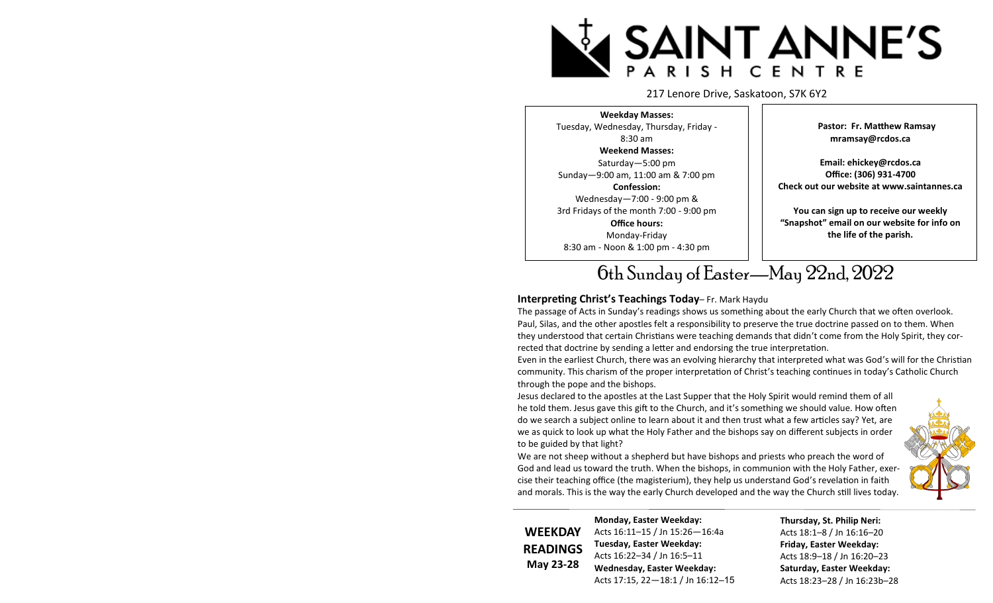

#### 217 Lenore Drive, Saskatoon, S7K 6Y2

**Weekday Masses:**  Tuesday, Wednesday, Thursday, Friday - 8:30 am **Weekend Masses:**  Saturday—5:00 pm Sunday—9:00 am, 11:00 am & 7:00 pm **Confession:** Wednesday—7:00 - 9:00 pm & 3rd Fridays of the month 7:00 - 9:00 pm **Office hours:** Monday-Friday 8:30 am - Noon & 1:00 pm - 4:30 pm

 **Pastor: Fr. Matthew Ramsay mramsay@rcdos.ca**

**Email: ehickey@rcdos.ca Office: (306) 931-4700 Check out our website at www.saintannes.ca** 

**You can sign up to receive our weekly "Snapshot" email on our website for info on the life of the parish.**

# 6th Sunday of Easter—May 22nd, 2022

#### **Interpreting Christ's Teachings Today**– Fr. Mark Haydu

The passage of Acts in Sunday's readings shows us something about the early Church that we often overlook. Paul, Silas, and the other apostles felt a responsibility to preserve the true doctrine passed on to them. When they understood that certain Christians were teaching demands that didn't come from the Holy Spirit, they corrected that doctrine by sending a letter and endorsing the true interpretation.

Even in the earliest Church, there was an evolving hierarchy that interpreted what was God's will for the Christian community. This charism of the proper interpretation of Christ's teaching continues in today's Catholic Church through the pope and the bishops.

Jesus declared to the apostles at the Last Supper that the Holy Spirit would remind them of all he told them. Jesus gave this gift to the Church, and it's something we should value. How often do we search a subject online to learn about it and then trust what a few articles say? Yet, are we as quick to look up what the Holy Father and the bishops say on different subjects in order to be guided by that light?

We are not sheep without a shepherd but have bishops and priests who preach the word of God and lead us toward the truth. When the bishops, in communion with the Holy Father, exercise their teaching office (the magisterium), they help us understand God's revelation in faith and morals. This is the way the early Church developed and the way the Church still lives today.

**WEEKDAY READINGS May 23-28**

**Monday, Easter Weekday:**  Acts 16:11–15 / Jn 15:26—16:4a **Tuesday, Easter Weekday:**  Acts 16:22–34 / Jn 16:5–11 **Wednesday, Easter Weekday:**  Acts 17:15, 22—18:1 / Jn 16:12–15 **Thursday, St. Philip Neri:**  Acts 18:1–8 / Jn 16:16–20 **Friday, Easter Weekday:**  Acts 18:9–18 / Jn 16:20–23 **Saturday, Easter Weekday:**  Acts 18:23–28 / Jn 16:23b–28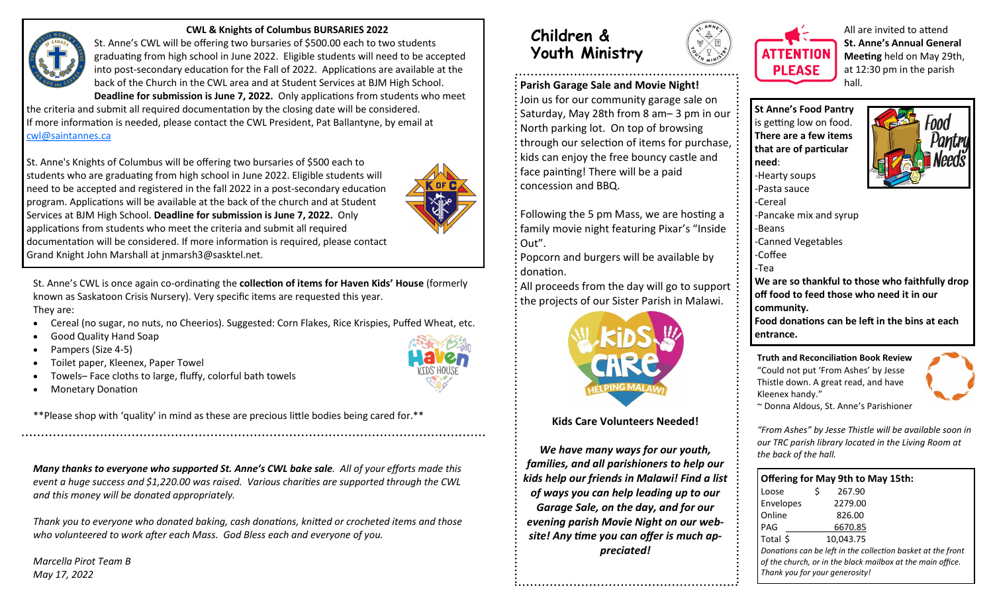

#### **CWL & Knights of Columbus BURSARIES 2022**

St. Anne's CWL will be offering two bursaries of \$500.00 each to two students graduating from high school in June 2022. Eligible students will need to be accepted into post-secondary education for the Fall of 2022. Applications are available at the back of the Church in the CWL area and at Student Services at BJM High School. **Deadline for submission is June 7, 2022.** Only applications from students who meet

the criteria and submit all required documentation by the closing date will be considered. If more information is needed, please contact the CWL President, Pat Ballantyne, by email at [cwl@saintannes.ca](mailto:cwl@saintannes.ca)

St. Anne's Knights of Columbus will be offering two bursaries of \$500 each to students who are graduating from high school in June 2022. Eligible students will need to be accepted and registered in the fall 2022 in a post-secondary education program. Applications will be available at the back of the church and at Student Services at BJM High School. **Deadline for submission is June 7, 2022.** Only applications from students who meet the criteria and submit all required documentation will be considered. If more information is required, please contact Grand Knight John Marshall at jnmarsh3@sasktel.net.



St. Anne's CWL is once again co-ordinating the **collection of items for Haven Kids' House** (formerly known as Saskatoon Crisis Nursery). Very specific items are requested this year. They are:

- Cereal (no sugar, no nuts, no Cheerios). Suggested: Corn Flakes, Rice Krispies, Puffed Wheat, etc.
- Good Quality Hand Soap
- Pampers (Size 4-5)
- Toilet paper, Kleenex, Paper Towel
- Towels– Face cloths to large, fluffy, colorful bath towels
- Monetary Donation

\*\*Please shop with 'quality' in mind as these are precious little bodies being cared for.\*\*

*Many thanks to everyone who supported St. Anne's CWL bake sale. All of your efforts made this event a huge success and \$1,220.00 was raised. Various charities are supported through the CWL and this money will be donated appropriately.*

*Thank you to everyone who donated baking, cash donations, knitted or crocheted items and those who volunteered to work after each Mass. God Bless each and everyone of you.*

*Marcella Pirot Team B May 17, 2022*



## **Children & Youth Ministry**

**Parish Garage Sale and Movie Night!**  Join us for our community garage sale on

Saturday, May 28th from 8 am– 3 pm in our : North parking lot. On top of browsing through our selection of items for purchase, : kids can enjoy the free bouncy castle and face painting! There will be a paid concession and BBQ.

Following the 5 pm Mass, we are hosting a family movie night featuring Pixar's "Inside Out".

Popcorn and burgers will be available by donation.

All proceeds from the day will go to support the projects of our Sister Parish in Malawi.



**Kids Care Volunteers Needed!**

*We have many ways for our youth, families, and all parishioners to help our kids help our friends in Malawi! Find a list of ways you can help leading up to our Garage Sale, on the day, and for our evening parish Movie Night on our website! Any time you can offer is much appreciated!*



All are invited to attend **St. Anne's Annual General Meeting** held on May 29th, at 12:30 pm in the parish hall.

**St Anne's Food Pantry**  is getting low on food. **There are a few items that are of particular need**: -Hearty soups -Pasta sauce -Cereal



-Pancake mix and syrup -Beans -Canned Vegetables -Coffee -Tea **We are so thankful to those who faithfully drop off food to feed those who need it in our community. Food donations can be left in the bins at each entrance. Truth and Reconciliation Book Review**

"Could not put 'From Ashes' by Jesse Thistle down. A great read, and have Kleenex handy."



~ Donna Aldous, St. Anne's Parishioner

*"From Ashes" by Jesse Thistle will be available soon in our TRC parish library located in the Living Room at the back of the hall.* 

| <b>Offering for May 9th to May 15th:</b>                                                                                  |  |  |  |  |  |
|---------------------------------------------------------------------------------------------------------------------------|--|--|--|--|--|
|                                                                                                                           |  |  |  |  |  |
|                                                                                                                           |  |  |  |  |  |
| Loose \$267.90<br>Envelopes 2279.00<br>Online 826.00<br>PAG 6670.85<br>Total \$10,043.75                                  |  |  |  |  |  |
|                                                                                                                           |  |  |  |  |  |
|                                                                                                                           |  |  |  |  |  |
|                                                                                                                           |  |  |  |  |  |
| Donations can be left in the collection basket at the front<br>of the church, or in the black mailbox at the main office. |  |  |  |  |  |
| Thank you for your generosity!                                                                                            |  |  |  |  |  |